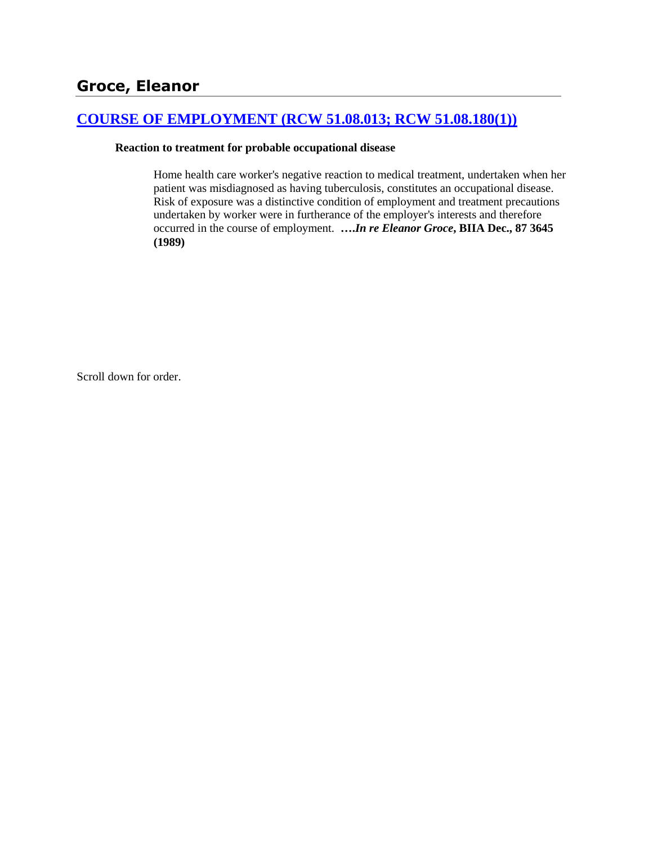# **[COURSE OF EMPLOYMENT \(RCW 51.08.013; RCW 51.08.180\(1\)\)](http://www.biia.wa.gov/SDSubjectIndex.html#COURSE_OF_EMPLOYMENT)**

### **Reaction to treatment for probable occupational disease**

Home health care worker's negative reaction to medical treatment, undertaken when her patient was misdiagnosed as having tuberculosis, constitutes an occupational disease. Risk of exposure was a distinctive condition of employment and treatment precautions undertaken by worker were in furtherance of the employer's interests and therefore occurred in the course of employment. **….***In re Eleanor Groce***, BIIA Dec., 87 3645 (1989)** 

Scroll down for order.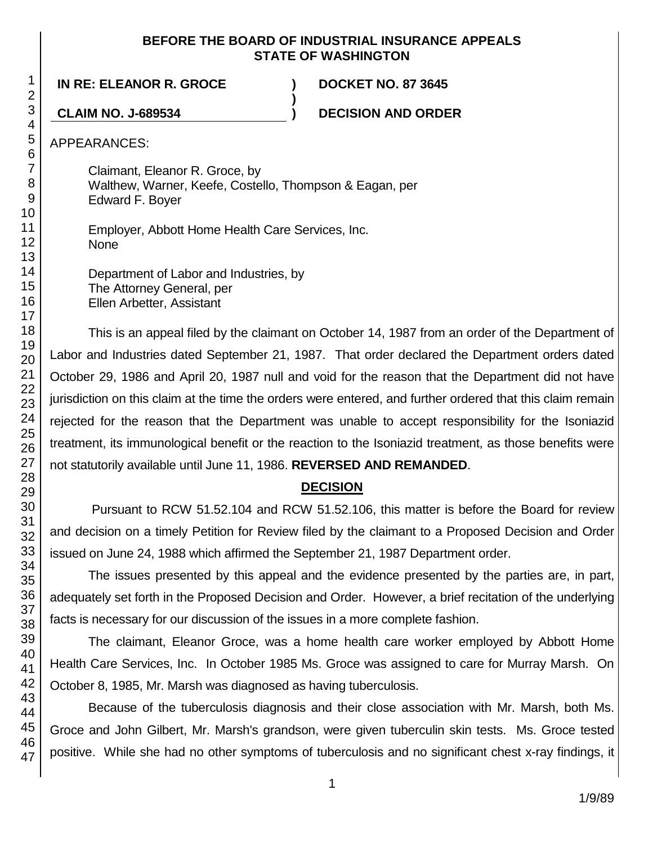### **BEFORE THE BOARD OF INDUSTRIAL INSURANCE APPEALS STATE OF WASHINGTON**

**)**

**IN RE: ELEANOR R. GROCE ) DOCKET NO. 87 3645**

**CLAIM NO. J-689534 ) DECISION AND ORDER**

APPEARANCES:

Claimant, Eleanor R. Groce, by Walthew, Warner, Keefe, Costello, Thompson & Eagan, per Edward F. Boyer

Employer, Abbott Home Health Care Services, Inc. None

Department of Labor and Industries, by The Attorney General, per Ellen Arbetter, Assistant

This is an appeal filed by the claimant on October 14, 1987 from an order of the Department of Labor and Industries dated September 21, 1987. That order declared the Department orders dated October 29, 1986 and April 20, 1987 null and void for the reason that the Department did not have jurisdiction on this claim at the time the orders were entered, and further ordered that this claim remain rejected for the reason that the Department was unable to accept responsibility for the Isoniazid treatment, its immunological benefit or the reaction to the Isoniazid treatment, as those benefits were not statutorily available until June 11, 1986. **REVERSED AND REMANDED**.

## **DECISION**

Pursuant to RCW 51.52.104 and RCW 51.52.106, this matter is before the Board for review and decision on a timely Petition for Review filed by the claimant to a Proposed Decision and Order issued on June 24, 1988 which affirmed the September 21, 1987 Department order.

The issues presented by this appeal and the evidence presented by the parties are, in part, adequately set forth in the Proposed Decision and Order. However, a brief recitation of the underlying facts is necessary for our discussion of the issues in a more complete fashion.

The claimant, Eleanor Groce, was a home health care worker employed by Abbott Home Health Care Services, Inc. In October 1985 Ms. Groce was assigned to care for Murray Marsh. On October 8, 1985, Mr. Marsh was diagnosed as having tuberculosis.

Because of the tuberculosis diagnosis and their close association with Mr. Marsh, both Ms. Groce and John Gilbert, Mr. Marsh's grandson, were given tuberculin skin tests. Ms. Groce tested positive. While she had no other symptoms of tuberculosis and no significant chest x-ray findings, it

1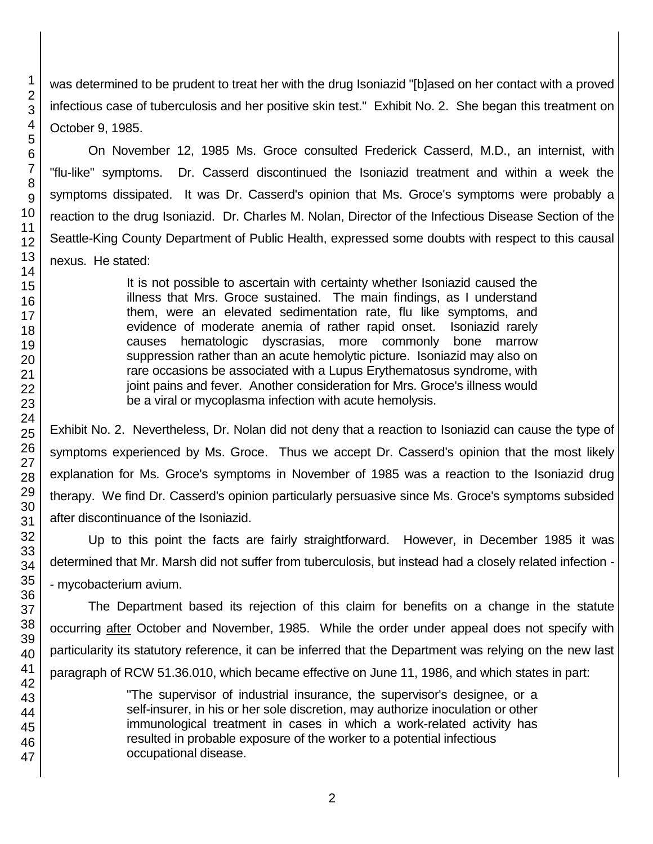was determined to be prudent to treat her with the drug Isoniazid "[b]ased on her contact with a proved infectious case of tuberculosis and her positive skin test." Exhibit No. 2. She began this treatment on October 9, 1985.

On November 12, 1985 Ms. Groce consulted Frederick Casserd, M.D., an internist, with "flu-like" symptoms. Dr. Casserd discontinued the Isoniazid treatment and within a week the symptoms dissipated. It was Dr. Casserd's opinion that Ms. Groce's symptoms were probably a reaction to the drug Isoniazid. Dr. Charles M. Nolan, Director of the Infectious Disease Section of the Seattle-King County Department of Public Health, expressed some doubts with respect to this causal nexus. He stated:

> It is not possible to ascertain with certainty whether Isoniazid caused the illness that Mrs. Groce sustained. The main findings, as I understand them, were an elevated sedimentation rate, flu like symptoms, and evidence of moderate anemia of rather rapid onset. Isoniazid rarely causes hematologic dyscrasias, more commonly bone marrow suppression rather than an acute hemolytic picture. Isoniazid may also on rare occasions be associated with a Lupus Erythematosus syndrome, with joint pains and fever. Another consideration for Mrs. Groce's illness would be a viral or mycoplasma infection with acute hemolysis.

Exhibit No. 2. Nevertheless, Dr. Nolan did not deny that a reaction to Isoniazid can cause the type of symptoms experienced by Ms. Groce. Thus we accept Dr. Casserd's opinion that the most likely explanation for Ms. Groce's symptoms in November of 1985 was a reaction to the Isoniazid drug therapy. We find Dr. Casserd's opinion particularly persuasive since Ms. Groce's symptoms subsided after discontinuance of the Isoniazid.

Up to this point the facts are fairly straightforward. However, in December 1985 it was determined that Mr. Marsh did not suffer from tuberculosis, but instead had a closely related infection - - mycobacterium avium.

The Department based its rejection of this claim for benefits on a change in the statute occurring after October and November, 1985. While the order under appeal does not specify with particularity its statutory reference, it can be inferred that the Department was relying on the new last paragraph of RCW 51.36.010, which became effective on June 11, 1986, and which states in part:

> "The supervisor of industrial insurance, the supervisor's designee, or a self-insurer, in his or her sole discretion, may authorize inoculation or other immunological treatment in cases in which a work-related activity has resulted in probable exposure of the worker to a potential infectious occupational disease.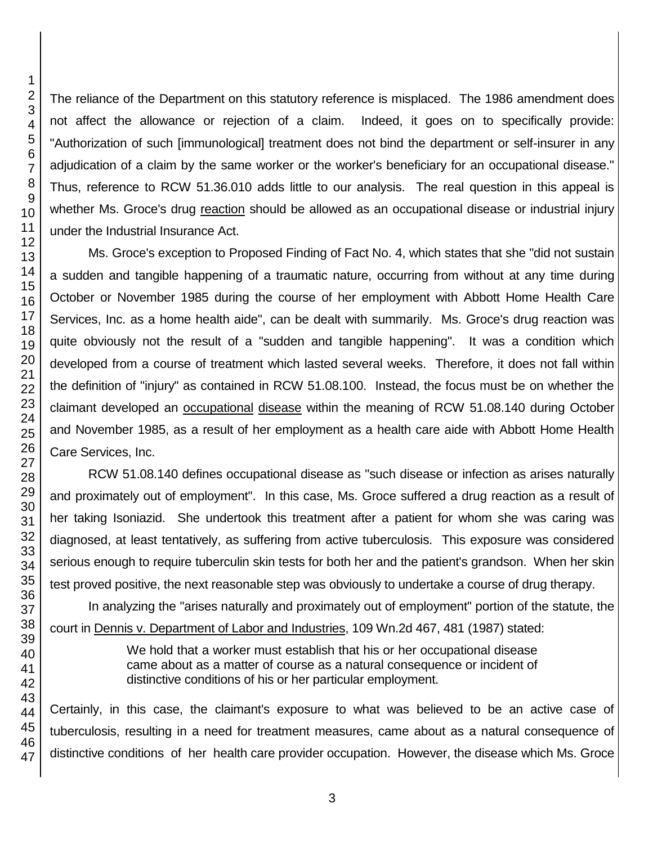The reliance of the Department on this statutory reference is misplaced. The 1986 amendment does not affect the allowance or rejection of a claim. Indeed, it goes on to specifically provide: "Authorization of such [immunological] treatment does not bind the department or self-insurer in any adjudication of a claim by the same worker or the worker's beneficiary for an occupational disease." Thus, reference to RCW 51.36.010 adds little to our analysis. The real question in this appeal is whether Ms. Groce's drug reaction should be allowed as an occupational disease or industrial injury under the Industrial Insurance Act.

Ms. Groce's exception to Proposed Finding of Fact No. 4, which states that she "did not sustain a sudden and tangible happening of a traumatic nature, occurring from without at any time during October or November 1985 during the course of her employment with Abbott Home Health Care Services, Inc. as a home health aide", can be dealt with summarily. Ms. Groce's drug reaction was quite obviously not the result of a "sudden and tangible happening". It was a condition which developed from a course of treatment which lasted several weeks. Therefore, it does not fall within the definition of "injury" as contained in RCW 51.08.100. Instead, the focus must be on whether the claimant developed an occupational disease within the meaning of RCW 51.08.140 during October and November 1985, as a result of her employment as a health care aide with Abbott Home Health Care Services, Inc.

RCW 51.08.140 defines occupational disease as "such disease or infection as arises naturally and proximately out of employment". In this case, Ms. Groce suffered a drug reaction as a result of her taking Isoniazid. She undertook this treatment after a patient for whom she was caring was diagnosed, at least tentatively, as suffering from active tuberculosis. This exposure was considered serious enough to require tuberculin skin tests for both her and the patient's grandson. When her skin test proved positive, the next reasonable step was obviously to undertake a course of drug therapy.

In analyzing the "arises naturally and proximately out of employment" portion of the statute, the court in Dennis v. Department of Labor and Industries, 109 Wn.2d 467, 481 (1987) stated:

> We hold that a worker must establish that his or her occupational disease came about as a matter of course as a natural consequence or incident of distinctive conditions of his or her particular employment.

Certainly, in this case, the claimant's exposure to what was believed to be an active case of tuberculosis, resulting in a need for treatment measures, came about as a natural consequence of distinctive conditions of her health care provider occupation. However, the disease which Ms. Groce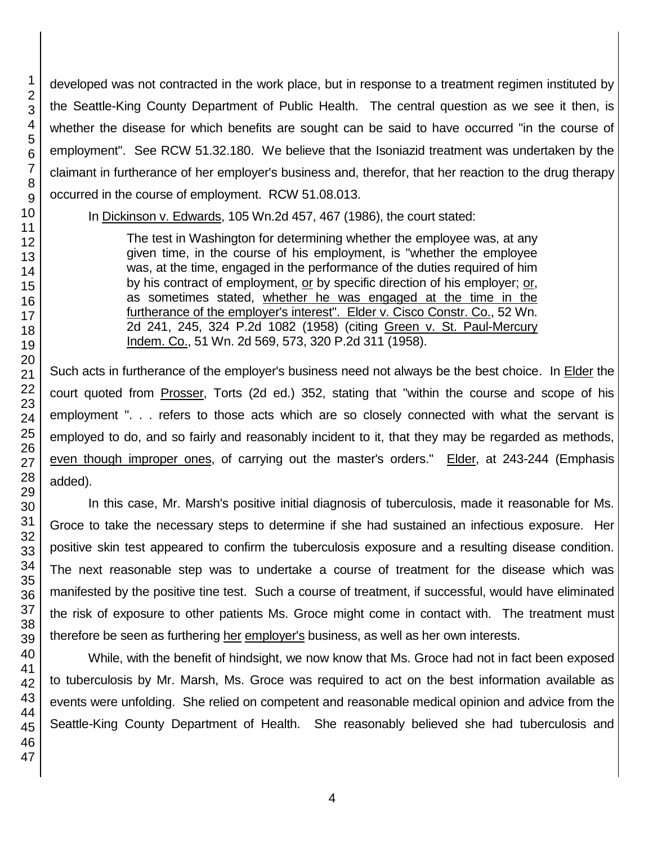developed was not contracted in the work place, but in response to a treatment regimen instituted by the Seattle-King County Department of Public Health. The central question as we see it then, is whether the disease for which benefits are sought can be said to have occurred "in the course of employment". See RCW 51.32.180. We believe that the Isoniazid treatment was undertaken by the claimant in furtherance of her employer's business and, therefor, that her reaction to the drug therapy occurred in the course of employment. RCW 51.08.013.

In Dickinson v. Edwards, 105 Wn.2d 457, 467 (1986), the court stated:

The test in Washington for determining whether the employee was, at any given time, in the course of his employment, is "whether the employee was, at the time, engaged in the performance of the duties required of him by his contract of employment, or by specific direction of his employer; or, as sometimes stated, whether he was engaged at the time in the furtherance of the employer's interest". Elder v. Cisco Constr. Co., 52 Wn. 2d 241, 245, 324 P.2d 1082 (1958) (citing Green v. St. Paul-Mercury Indem. Co., 51 Wn. 2d 569, 573, 320 P.2d 311 (1958).

Such acts in furtherance of the employer's business need not always be the best choice. In Elder the court quoted from Prosser, Torts (2d ed.) 352, stating that "within the course and scope of his employment ". . . refers to those acts which are so closely connected with what the servant is employed to do, and so fairly and reasonably incident to it, that they may be regarded as methods, even though improper ones, of carrying out the master's orders." Elder, at 243-244 (Emphasis added).

In this case, Mr. Marsh's positive initial diagnosis of tuberculosis, made it reasonable for Ms. Groce to take the necessary steps to determine if she had sustained an infectious exposure. Her positive skin test appeared to confirm the tuberculosis exposure and a resulting disease condition. The next reasonable step was to undertake a course of treatment for the disease which was manifested by the positive tine test. Such a course of treatment, if successful, would have eliminated the risk of exposure to other patients Ms. Groce might come in contact with. The treatment must therefore be seen as furthering her employer's business, as well as her own interests.

While, with the benefit of hindsight, we now know that Ms. Groce had not in fact been exposed to tuberculosis by Mr. Marsh, Ms. Groce was required to act on the best information available as events were unfolding. She relied on competent and reasonable medical opinion and advice from the Seattle-King County Department of Health. She reasonably believed she had tuberculosis and

1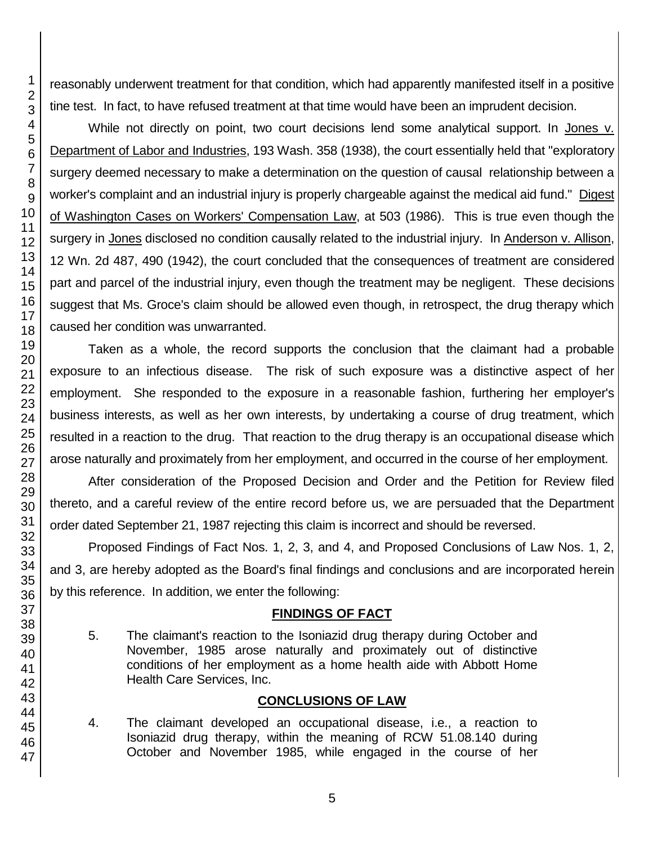reasonably underwent treatment for that condition, which had apparently manifested itself in a positive tine test. In fact, to have refused treatment at that time would have been an imprudent decision.

While not directly on point, two court decisions lend some analytical support. In Jones v. Department of Labor and Industries, 193 Wash. 358 (1938), the court essentially held that "exploratory surgery deemed necessary to make a determination on the question of causal relationship between a worker's complaint and an industrial injury is properly chargeable against the medical aid fund." Digest of Washington Cases on Workers' Compensation Law, at 503 (1986). This is true even though the surgery in Jones disclosed no condition causally related to the industrial injury. In Anderson v. Allison, 12 Wn. 2d 487, 490 (1942), the court concluded that the consequences of treatment are considered part and parcel of the industrial injury, even though the treatment may be negligent. These decisions suggest that Ms. Groce's claim should be allowed even though, in retrospect, the drug therapy which caused her condition was unwarranted.

Taken as a whole, the record supports the conclusion that the claimant had a probable exposure to an infectious disease. The risk of such exposure was a distinctive aspect of her employment. She responded to the exposure in a reasonable fashion, furthering her employer's business interests, as well as her own interests, by undertaking a course of drug treatment, which resulted in a reaction to the drug. That reaction to the drug therapy is an occupational disease which arose naturally and proximately from her employment, and occurred in the course of her employment.

After consideration of the Proposed Decision and Order and the Petition for Review filed thereto, and a careful review of the entire record before us, we are persuaded that the Department order dated September 21, 1987 rejecting this claim is incorrect and should be reversed.

Proposed Findings of Fact Nos. 1, 2, 3, and 4, and Proposed Conclusions of Law Nos. 1, 2, and 3, are hereby adopted as the Board's final findings and conclusions and are incorporated herein by this reference. In addition, we enter the following:

## **FINDINGS OF FACT**

5. The claimant's reaction to the Isoniazid drug therapy during October and November, 1985 arose naturally and proximately out of distinctive conditions of her employment as a home health aide with Abbott Home Health Care Services, Inc.

## **CONCLUSIONS OF LAW**

4. The claimant developed an occupational disease, i.e., a reaction to Isoniazid drug therapy, within the meaning of RCW 51.08.140 during October and November 1985, while engaged in the course of her